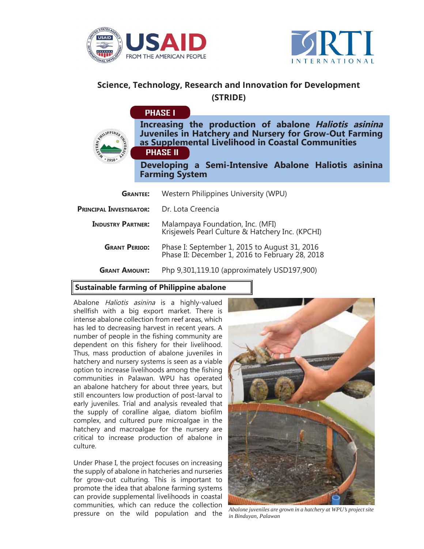

LIPPINES



# **Science, Technology, Research and Innovation for Development (STRIDE)**

## **PHASE I**

**Increasing the production of abalone Haliotis asinina Juveniles in Hatchery and Nursery for Grow-Out Farming as Supplemental Livelihood in Coastal Communities PHASE II**

**Developing a Semi-Intensive Abalone Haliotis asinina Farming System**

| <b>GRANTEE:</b>                | Western Philippines University (WPU)                                                             |
|--------------------------------|--------------------------------------------------------------------------------------------------|
| <b>PRINCIPAL INVESTIGATOR:</b> | Dr. Lota Creencia                                                                                |
| <b>INDUSTRY PARTNER:</b>       | Malampaya Foundation, Inc. (MFI)<br>Krisjewels Pearl Culture & Hatchery Inc. (KPCHI)             |
| <b>GRANT PERIOD:</b>           | Phase I: September 1, 2015 to August 31, 2016<br>Phase II: December 1, 2016 to February 28, 2018 |
| <b>GRANT AMOUNT:</b>           | Php 9,301,119.10 (approximately USD197,900)                                                      |

### **Sustainable farming of Philippine abalone**

Abalone *Haliotis asinina* is a highly-valued shellfish with a big export market. There is intense abalone collection from reef areas, which has led to decreasing harvest in recent years. A number of people in the fishing community are dependent on this fishery for their livelihood. Thus, mass production of abalone juveniles in hatchery and nursery systems is seen as a viable option to increase livelihoods among the fishing communities in Palawan. WPU has operated an abalone hatchery for about three years, but still encounters low production of post-larval to early juveniles. Trial and analysis revealed that the supply of coralline algae, diatom biofilm complex, and cultured pure microalgae in the hatchery and macroalgae for the nursery are critical to increase production of abalone in culture.

Under Phase I, the project focuses on increasing the supply of abalone in hatcheries and nurseries for grow-out culturing. This is important to promote the idea that abalone farming systems can provide supplemental livelihoods in coastal communities, which can reduce the collection pressure on the wild population and the



*Abalone juveniles are grown in a hatchery at WPU's project site in Binduyan, Palawan*